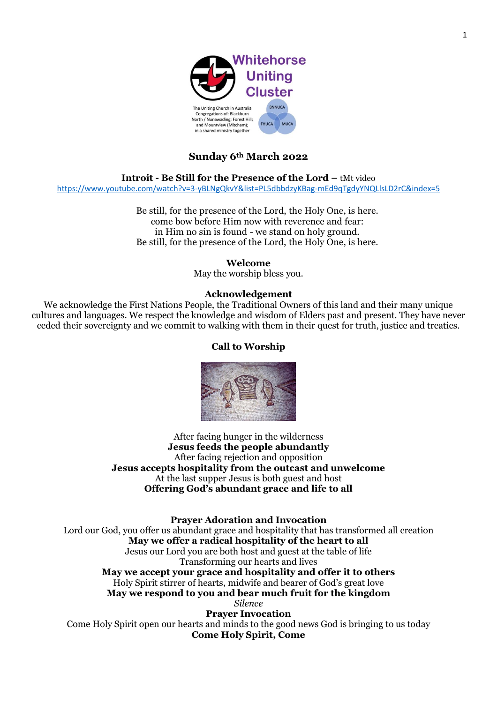

# **Sunday 6th March 2022**

**Introit - Be Still for the Presence of the Lord – tMt video** 

<https://www.youtube.com/watch?v=3-yBLNgQkvY&list=PL5dbbdzyKBag-mEd9qTgdyYNQLlsLD2rC&index=5>

Be still, for the presence of the Lord, the Holy One, is here. come bow before Him now with reverence and fear: in Him no sin is found - we stand on holy ground. Be still, for the presence of the Lord, the Holy One, is here.

## **Welcome**

May the worship bless you.

# **Acknowledgement**

We acknowledge the First Nations People, the Traditional Owners of this land and their many unique cultures and languages. We respect the knowledge and wisdom of Elders past and present. They have never ceded their sovereignty and we commit to walking with them in their quest for truth, justice and treaties.

# **Call to Worship**



After facing hunger in the wilderness **Jesus feeds the people abundantly** After facing rejection and opposition **Jesus accepts hospitality from the outcast and unwelcome** At the last supper Jesus is both guest and host **Offering God's abundant grace and life to all**

# **Prayer Adoration and Invocation**

Lord our God, you offer us abundant grace and hospitality that has transformed all creation **May we offer a radical hospitality of the heart to all** Jesus our Lord you are both host and guest at the table of life Transforming our hearts and lives **May we accept your grace and hospitality and offer it to others** Holy Spirit stirrer of hearts, midwife and bearer of God's great love **May we respond to you and bear much fruit for the kingdom** *Silence*

**Prayer Invocation**

Come Holy Spirit open our hearts and minds to the good news God is bringing to us today **Come Holy Spirit, Come**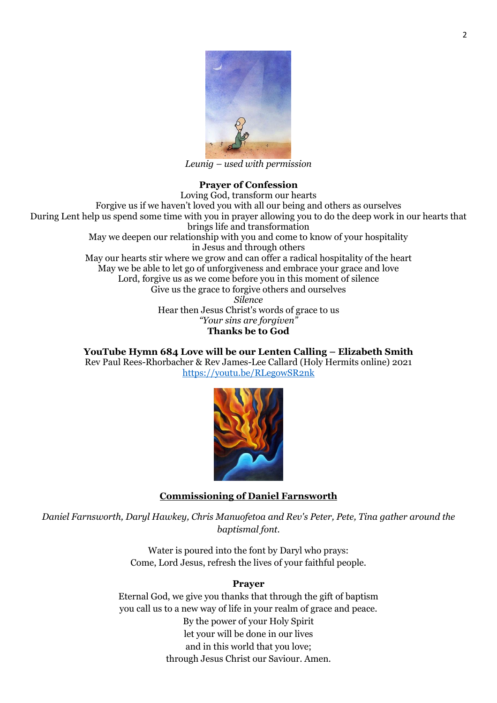

*Leunig – used with permission*

## **Prayer of Confession**

Loving God, transform our hearts Forgive us if we haven't loved you with all our being and others as ourselves During Lent help us spend some time with you in prayer allowing you to do the deep work in our hearts that brings life and transformation May we deepen our relationship with you and come to know of your hospitality in Jesus and through others May our hearts stir where we grow and can offer a radical hospitality of the heart May we be able to let go of unforgiveness and embrace your grace and love Lord, forgive us as we come before you in this moment of silence Give us the grace to forgive others and ourselves *Silence* Hear then Jesus Christ's words of grace to us *"Your sins are forgiven"* **Thanks be to God**

**YouTube Hymn 684 Love will be our Lenten Calling – Elizabeth Smith**

Rev Paul Rees-Rhorbacher & Rev James-Lee Callard (Holy Hermits online) 2021 <https://youtu.be/RLegowSR2nk>



# **Commissioning of Daniel Farnsworth**

*Daniel Farnsworth, Daryl Hawkey, Chris Manuofetoa and Rev's Peter, Pete, Tina gather around the baptismal font.*

> Water is poured into the font by Daryl who prays: Come, Lord Jesus, refresh the lives of your faithful people.

## **Prayer**

Eternal God, we give you thanks that through the gift of baptism you call us to a new way of life in your realm of grace and peace. By the power of your Holy Spirit let your will be done in our lives and in this world that you love; through Jesus Christ our Saviour. Amen.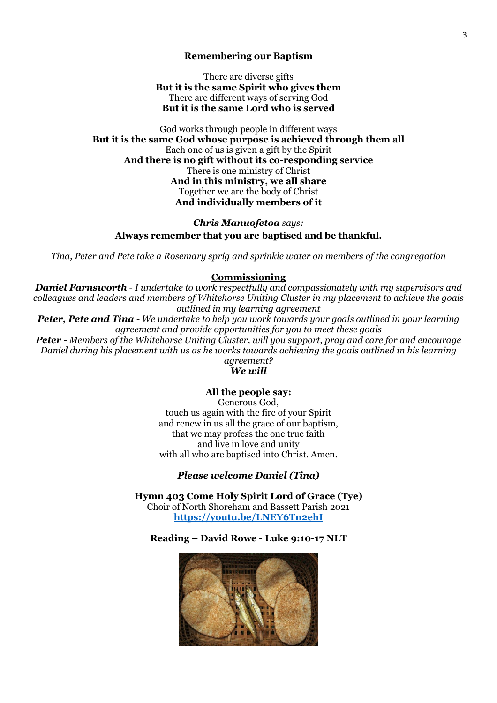## **Remembering our Baptism**

There are diverse gifts **But it is the same Spirit who gives them** There are different ways of serving God **But it is the same Lord who is served**

God works through people in different ways **But it is the same God whose purpose is achieved through them all** Each one of us is given a gift by the Spirit **And there is no gift without its co-responding service** There is one ministry of Christ **And in this ministry, we all share** Together we are the body of Christ **And individually members of it**

# *Chris Manuofetoa says:*  **Always remember that you are baptised and be thankful.**

*Tina, Peter and Pete take a Rosemary sprig and sprinkle water on members of the congregation*

## **Commissioning**

*Daniel Farnsworth - I undertake to work respectfully and compassionately with my supervisors and colleagues and leaders and members of Whitehorse Uniting Cluster in my placement to achieve the goals outlined in my learning agreement*

*Peter, Pete and Tina - We undertake to help you work towards your goals outlined in your learning agreement and provide opportunities for you to meet these goals*

*Peter - Members of the Whitehorse Uniting Cluster, will you support, pray and care for and encourage Daniel during his placement with us as he works towards achieving the goals outlined in his learning agreement?*

*We will*

# **All the people say:**

Generous God, touch us again with the fire of your Spirit and renew in us all the grace of our baptism, that we may profess the one true faith and live in love and unity with all who are baptised into Christ. Amen.

## *Please welcome Daniel (Tina)*

**Hymn 403 Come Holy Spirit Lord of Grace (Tye)** Choir of North Shoreham and Bassett Parish 2021 **<https://youtu.be/LNEY6Tn2ehI>**

## **Reading – David Rowe - Luke 9:10-17 NLT**

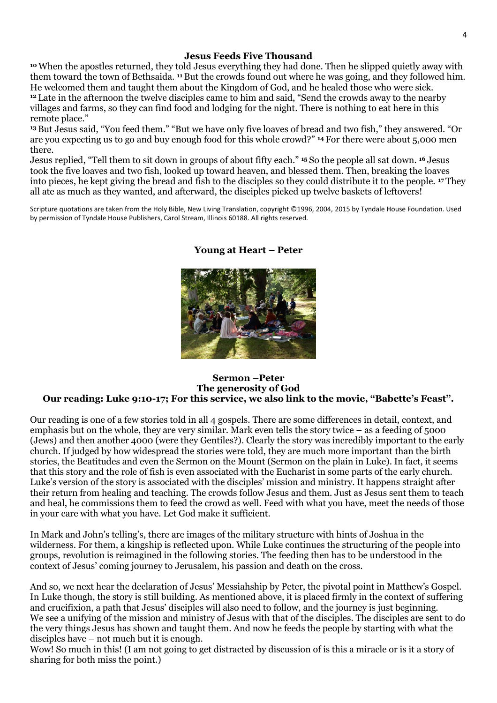# **Jesus Feeds Five Thousand**

**<sup>10</sup>** When the apostles returned, they told Jesus everything they had done. Then he slipped quietly away with them toward the town of Bethsaida. **<sup>11</sup>**But the crowds found out where he was going, and they followed him. He welcomed them and taught them about the Kingdom of God, and he healed those who were sick. **<sup>12</sup>** Late in the afternoon the twelve disciples came to him and said, "Send the crowds away to the nearby villages and farms, so they can find food and lodging for the night. There is nothing to eat here in this remote place."

**<sup>13</sup>**But Jesus said, "You feed them." "But we have only five loaves of bread and two fish," they answered. "Or are you expecting us to go and buy enough food for this whole crowd?" **<sup>14</sup>** For there were about 5,000 men there.

Jesus replied, "Tell them to sit down in groups of about fifty each." **<sup>15</sup>** So the people all sat down. **<sup>16</sup>** Jesus took the five loaves and two fish, looked up toward heaven, and blessed them. Then, breaking the loaves into pieces, he kept giving the bread and fish to the disciples so they could distribute it to the people. **<sup>17</sup>** They all ate as much as they wanted, and afterward, the disciples picked up twelve baskets of leftovers!

Scripture quotations are taken from the Holy Bible, New Living Translation, copyright ©1996, 2004, 2015 by Tyndale House Foundation. Used by permission of Tyndale House Publishers, Carol Stream, Illinois 60188. All rights reserved.



## **Young at Heart – Peter**

## **Sermon –Peter The generosity of God Our reading: Luke 9:10-17; For this service, we also link to the movie, "Babette's Feast".**

Our reading is one of a few stories told in all 4 gospels. There are some differences in detail, context, and emphasis but on the whole, they are very similar. Mark even tells the story twice  $-$  as a feeding of 5000 (Jews) and then another 4000 (were they Gentiles?). Clearly the story was incredibly important to the early church. If judged by how widespread the stories were told, they are much more important than the birth stories, the Beatitudes and even the Sermon on the Mount (Sermon on the plain in Luke). In fact, it seems that this story and the role of fish is even associated with the Eucharist in some parts of the early church. Luke's version of the story is associated with the disciples' mission and ministry. It happens straight after their return from healing and teaching. The crowds follow Jesus and them. Just as Jesus sent them to teach and heal, he commissions them to feed the crowd as well. Feed with what you have, meet the needs of those in your care with what you have. Let God make it sufficient.

In Mark and John's telling's, there are images of the military structure with hints of Joshua in the wilderness. For them, a kingship is reflected upon. While Luke continues the structuring of the people into groups, revolution is reimagined in the following stories. The feeding then has to be understood in the context of Jesus' coming journey to Jerusalem, his passion and death on the cross.

And so, we next hear the declaration of Jesus' Messiahship by Peter, the pivotal point in Matthew's Gospel. In Luke though, the story is still building. As mentioned above, it is placed firmly in the context of suffering and crucifixion, a path that Jesus' disciples will also need to follow, and the journey is just beginning. We see a unifying of the mission and ministry of Jesus with that of the disciples. The disciples are sent to do the very things Jesus has shown and taught them. And now he feeds the people by starting with what the disciples have – not much but it is enough.

Wow! So much in this! (I am not going to get distracted by discussion of is this a miracle or is it a story of sharing for both miss the point.)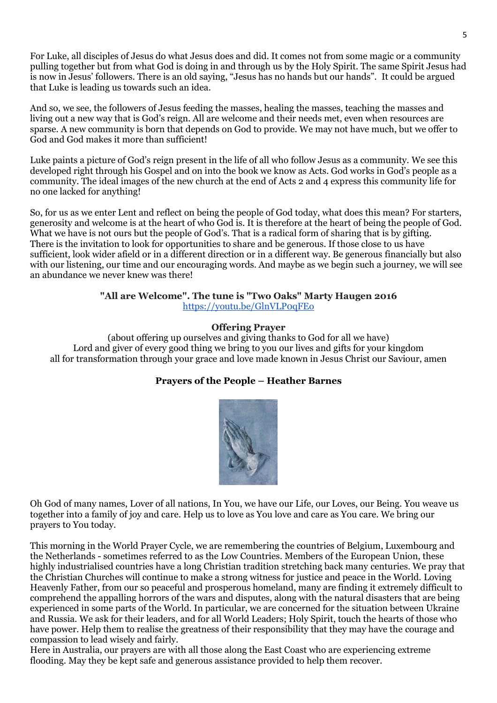For Luke, all disciples of Jesus do what Jesus does and did. It comes not from some magic or a community pulling together but from what God is doing in and through us by the Holy Spirit. The same Spirit Jesus had is now in Jesus' followers. There is an old saying, "Jesus has no hands but our hands". It could be argued that Luke is leading us towards such an idea.

And so, we see, the followers of Jesus feeding the masses, healing the masses, teaching the masses and living out a new way that is God's reign. All are welcome and their needs met, even when resources are sparse. A new community is born that depends on God to provide. We may not have much, but we offer to God and God makes it more than sufficient!

Luke paints a picture of God's reign present in the life of all who follow Jesus as a community. We see this developed right through his Gospel and on into the book we know as Acts. God works in God's people as a community. The ideal images of the new church at the end of Acts 2 and 4 express this community life for no one lacked for anything!

So, for us as we enter Lent and reflect on being the people of God today, what does this mean? For starters, generosity and welcome is at the heart of who God is. It is therefore at the heart of being the people of God. What we have is not ours but the people of God's. That is a radical form of sharing that is by gifting. There is the invitation to look for opportunities to share and be generous. If those close to us have sufficient, look wider afield or in a different direction or in a different way. Be generous financially but also with our listening, our time and our encouraging words. And maybe as we begin such a journey, we will see an abundance we never knew was there!

## **"All are Welcome". The tune is "Two Oaks" Marty Haugen 2016** <https://youtu.be/GlnVLP0qFEo>

# **Offering Prayer**

(about offering up ourselves and giving thanks to God for all we have) Lord and giver of every good thing we bring to you our lives and gifts for your kingdom all for transformation through your grace and love made known in Jesus Christ our Saviour, amen

# **Prayers of the People – Heather Barnes**



Oh God of many names, Lover of all nations, In You, we have our Life, our Loves, our Being. You weave us together into a family of joy and care. Help us to love as You love and care as You care. We bring our prayers to You today.

This morning in the World Prayer Cycle, we are remembering the countries of Belgium, Luxembourg and the Netherlands - sometimes referred to as the Low Countries. Members of the European Union, these highly industrialised countries have a long Christian tradition stretching back many centuries. We pray that the Christian Churches will continue to make a strong witness for justice and peace in the World. Loving Heavenly Father, from our so peaceful and prosperous homeland, many are finding it extremely difficult to comprehend the appalling horrors of the wars and disputes, along with the natural disasters that are being experienced in some parts of the World. In particular, we are concerned for the situation between Ukraine and Russia. We ask for their leaders, and for all World Leaders; Holy Spirit, touch the hearts of those who have power. Help them to realise the greatness of their responsibility that they may have the courage and compassion to lead wisely and fairly.

Here in Australia, our prayers are with all those along the East Coast who are experiencing extreme flooding. May they be kept safe and generous assistance provided to help them recover.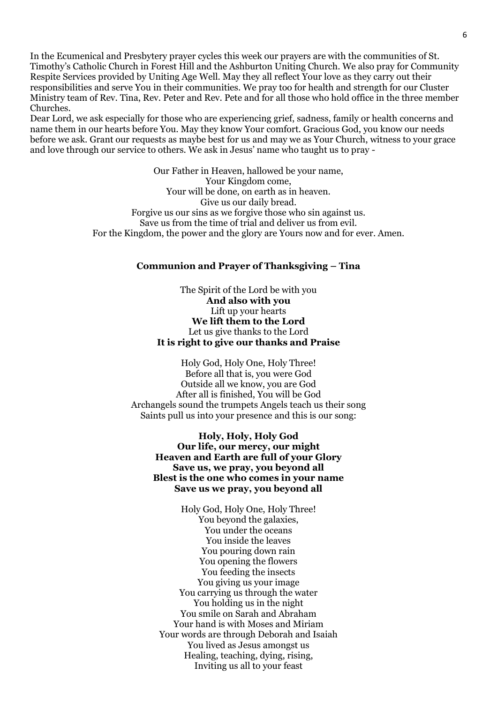In the Ecumenical and Presbytery prayer cycles this week our prayers are with the communities of St. Timothy's Catholic Church in Forest Hill and the Ashburton Uniting Church. We also pray for Community Respite Services provided by Uniting Age Well. May they all reflect Your love as they carry out their responsibilities and serve You in their communities. We pray too for health and strength for our Cluster Ministry team of Rev. Tina, Rev. Peter and Rev. Pete and for all those who hold office in the three member Churches.

Dear Lord, we ask especially for those who are experiencing grief, sadness, family or health concerns and name them in our hearts before You. May they know Your comfort. Gracious God, you know our needs before we ask. Grant our requests as maybe best for us and may we as Your Church, witness to your grace and love through our service to others. We ask in Jesus' name who taught us to pray -

> Our Father in Heaven, hallowed be your name, Your Kingdom come, Your will be done, on earth as in heaven. Give us our daily bread. Forgive us our sins as we forgive those who sin against us. Save us from the time of trial and deliver us from evil. For the Kingdom, the power and the glory are Yours now and for ever. Amen.

## **Communion and Prayer of Thanksgiving – Tina**

The Spirit of the Lord be with you **And also with you** Lift up your hearts **We lift them to the Lord** Let us give thanks to the Lord **It is right to give our thanks and Praise**

Holy God, Holy One, Holy Three! Before all that is, you were God Outside all we know, you are God After all is finished, You will be God Archangels sound the trumpets Angels teach us their song Saints pull us into your presence and this is our song:

**Holy, Holy, Holy God Our life, our mercy, our might Heaven and Earth are full of your Glory Save us, we pray, you beyond all Blest is the one who comes in your name Save us we pray, you beyond all**

Holy God, Holy One, Holy Three! You beyond the galaxies, You under the oceans You inside the leaves You pouring down rain You opening the flowers You feeding the insects You giving us your image You carrying us through the water You holding us in the night You smile on Sarah and Abraham Your hand is with Moses and Miriam Your words are through Deborah and Isaiah You lived as Jesus amongst us Healing, teaching, dying, rising, Inviting us all to your feast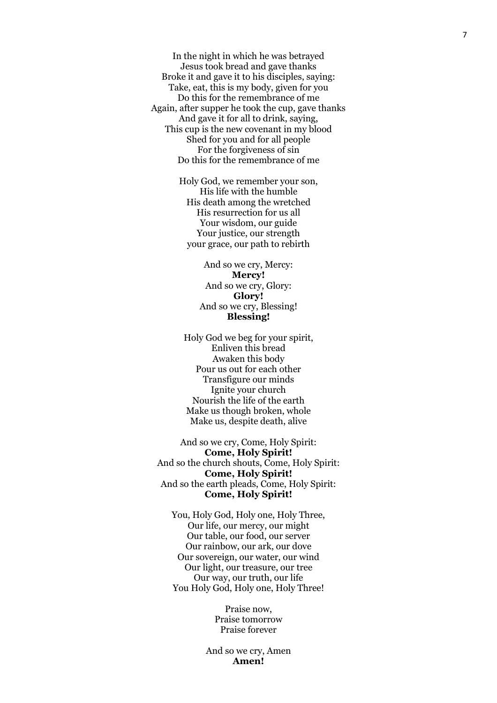In the night in which he was betrayed Jesus took bread and gave thanks Broke it and gave it to his disciples, saying: Take, eat, this is my body, given for you Do this for the remembrance of me Again, after supper he took the cup, gave thanks And gave it for all to drink, saying, This cup is the new covenant in my blood Shed for you and for all people For the forgiveness of sin Do this for the remembrance of me

> Holy God, we remember your son, His life with the humble His death among the wretched His resurrection for us all Your wisdom, our guide Your justice, our strength your grace, our path to rebirth

> > And so we cry, Mercy: **Mercy!** And so we cry, Glory: **Glory!** And so we cry, Blessing! **Blessing!**

Holy God we beg for your spirit, Enliven this bread Awaken this body Pour us out for each other Transfigure our minds Ignite your church Nourish the life of the earth Make us though broken, whole Make us, despite death, alive

And so we cry, Come, Holy Spirit: **Come, Holy Spirit!** And so the church shouts, Come, Holy Spirit: **Come, Holy Spirit!** And so the earth pleads, Come, Holy Spirit: **Come, Holy Spirit!**

You, Holy God, Holy one, Holy Three, Our life, our mercy, our might Our table, our food, our server Our rainbow, our ark, our dove Our sovereign, our water, our wind Our light, our treasure, our tree Our way, our truth, our life You Holy God, Holy one, Holy Three!

> Praise now, Praise tomorrow Praise forever

And so we cry, Amen **Amen!**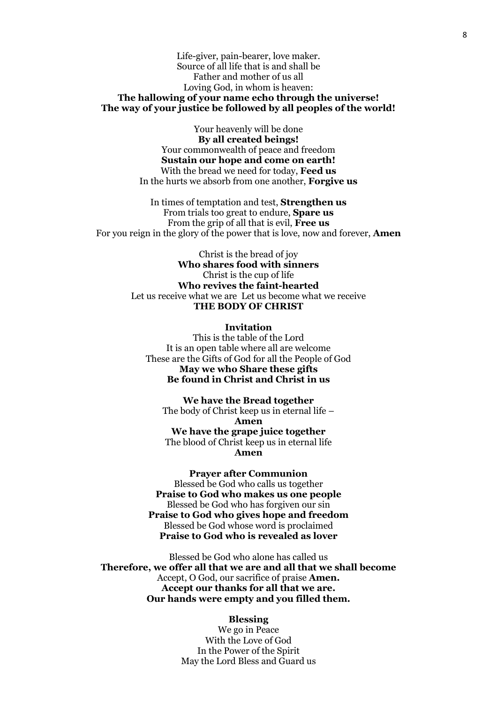Life-giver, pain-bearer, love maker. Source of all life that is and shall be Father and mother of us all Loving God, in whom is heaven: **The hallowing of your name echo through the universe! The way of your justice be followed by all peoples of the world!**

> Your heavenly will be done **By all created beings!** Your commonwealth of peace and freedom **Sustain our hope and come on earth!** With the bread we need for today, **Feed us** In the hurts we absorb from one another, **Forgive us**

In times of temptation and test, **Strengthen us** From trials too great to endure, **Spare us** From the grip of all that is evil, **Free us** For you reign in the glory of the power that is love, now and forever, **Amen**

> Christ is the bread of joy **Who shares food with sinners** Christ is the cup of life **Who revives the faint-hearted** Let us receive what we are Let us become what we receive **THE BODY OF CHRIST**

**Invitation** This is the table of the Lord It is an open table where all are welcome These are the Gifts of God for all the People of God **May we who Share these gifts Be found in Christ and Christ in us**

**We have the Bread together** The body of Christ keep us in eternal life – **Amen We have the grape juice together** The blood of Christ keep us in eternal life **Amen**

**Prayer after Communion** Blessed be God who calls us together

**Praise to God who makes us one people** Blessed be God who has forgiven our sin **Praise to God who gives hope and freedom** Blessed be God whose word is proclaimed **Praise to God who is revealed as lover**

Blessed be God who alone has called us **Therefore, we offer all that we are and all that we shall become** Accept, O God, our sacrifice of praise **Amen. Accept our thanks for all that we are. Our hands were empty and you filled them.**

## **Blessing**

We go in Peace With the Love of God In the Power of the Spirit May the Lord Bless and Guard us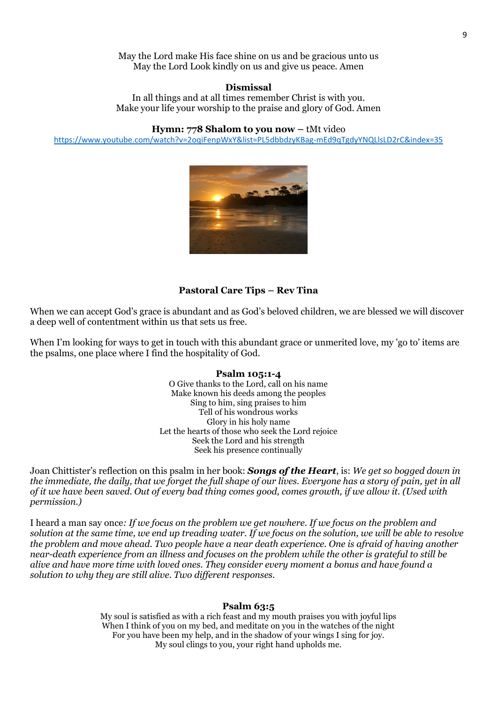May the Lord make His face shine on us and be gracious unto us May the Lord Look kindly on us and give us peace. Amen

#### **Dismissal**

In all things and at all times remember Christ is with you. Make your life your worship to the praise and glory of God. Amen

#### **Hymn: 778 Shalom to you now – tMt video**

<https://www.youtube.com/watch?v=2oqiFenpWxY&list=PL5dbbdzyKBag-mEd9qTgdyYNQLlsLD2rC&index=35>



## **Pastoral Care Tips – Rev Tina**

When we can accept God's grace is abundant and as God's beloved children, we are blessed we will discover a deep well of contentment within us that sets us free.

When I'm looking for ways to get in touch with this abundant grace or unmerited love, my 'go to' items are the psalms, one place where I find the hospitality of God.

#### **Psalm 105:1-4**

O Give thanks to the Lord, call on his name Make known his deeds among the peoples Sing to him, sing praises to him Tell of his wondrous works Glory in his holy name Let the hearts of those who seek the Lord rejoice Seek the Lord and his strength Seek his presence continually

Joan Chittister's reflection on this psalm in her book: *Songs of the Heart*, is: *We get so bogged down in the immediate, the daily, that we forget the full shape of our lives. Everyone has a story of pain, yet in all of it we have been saved. Out of every bad thing comes good, comes growth, if we allow it. (Used with permission.)*

I heard a man say once*: If we focus on the problem we get nowhere. If we focus on the problem and solution at the same time, we end up treading water. If we focus on the solution, we will be able to resolve the problem and move ahead. Two people have a near death experience. One is afraid of having another near-death experience from an illness and focuses on the problem while the other is grateful to still be alive and have more time with loved ones. They consider every moment a bonus and have found a solution to why they are still alive. Two different responses.*

#### **Psalm 63:5**

My soul is satisfied as with a rich feast and my mouth praises you with joyful lips When I think of you on my bed, and meditate on you in the watches of the night For you have been my help, and in the shadow of your wings I sing for joy. My soul clings to you, your right hand upholds me.